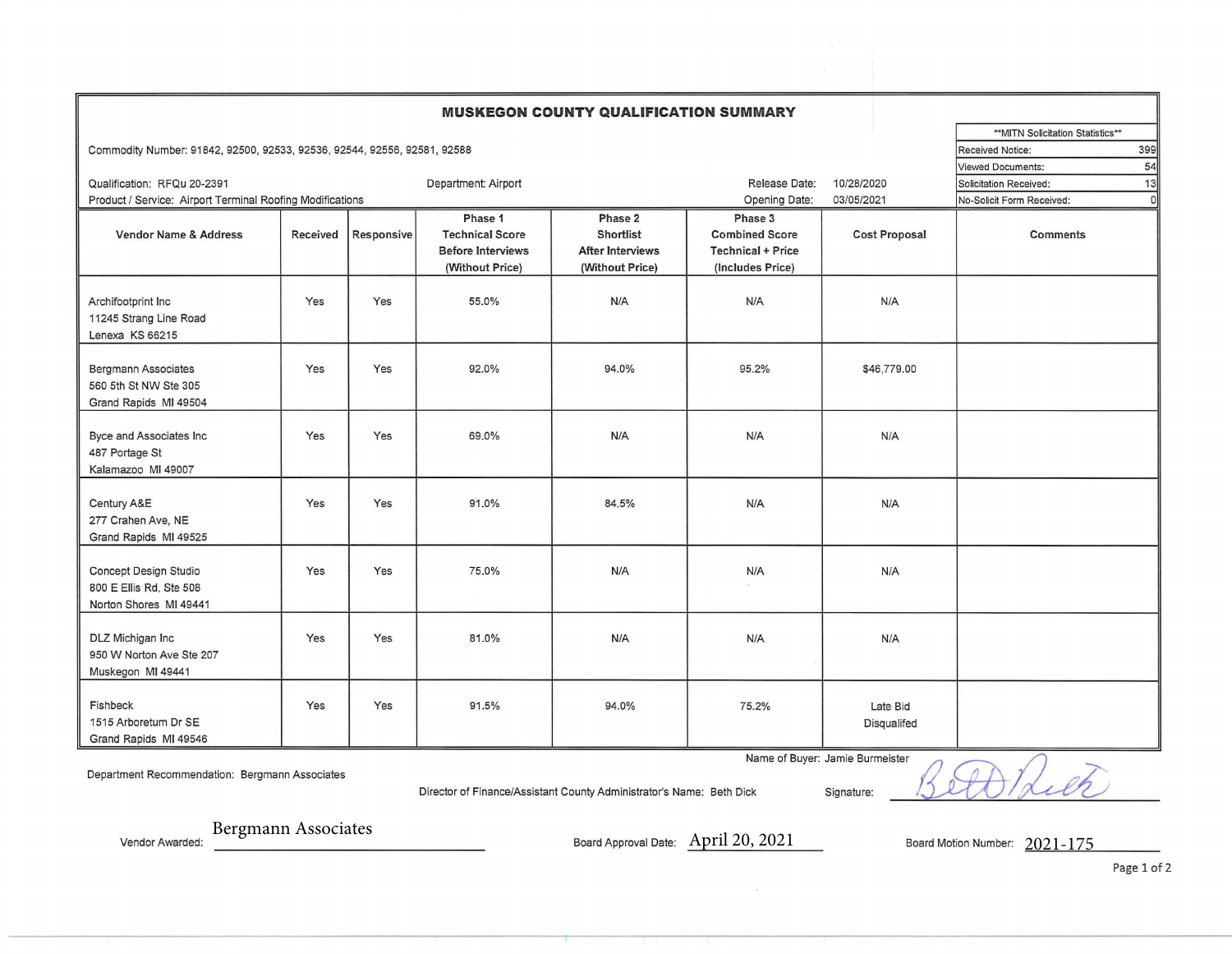## **MUSKEGON COUNTY QUALIFICATION SUMMARY**

Commodity Number: 91842, 92500, 92533, 92536, 92544, 92556, 92581, 92588 Service: 399 Received Notice: 399 Received Notice: 399

|                                                                              |          |            |                          |                         |                          |                                       | 54<br>Viewed Documents:      |
|------------------------------------------------------------------------------|----------|------------|--------------------------|-------------------------|--------------------------|---------------------------------------|------------------------------|
| Qualification: RFQu 20-2391                                                  |          |            | Department: Airport      |                         | Release Date:            | 10/28/2020                            | 13<br>Solicitation Received: |
| Product / Service: Airport Terminal Roofing Modifications                    |          |            |                          | Opening Date:           | 03/05/2021               | No-Solicit Form Received:<br>$\Omega$ |                              |
|                                                                              |          |            | Phase 1                  | Phase 2                 | Phase 3                  |                                       |                              |
| <b>Vendor Name &amp; Address</b>                                             | Received | Responsive | <b>Technical Score</b>   | <b>Shortlist</b>        | <b>Combined Score</b>    | <b>Cost Proposal</b>                  | Comments                     |
|                                                                              |          |            | <b>Before Interviews</b> | <b>After Interviews</b> | <b>Technical + Price</b> |                                       |                              |
|                                                                              |          |            | (Without Price)          | (Without Price)         | (Includes Price)         |                                       |                              |
| Archifootprint Inc<br>11245 Strang Line Road<br>Lenexa KS 66215              | Yes      | Yes        | 55.0%                    | N/A                     | N/A                      | N/A                                   |                              |
| <b>Bergmann Associates</b><br>560 5th St NW Ste 305<br>Grand Rapids MI 49504 | Yes      | Yes        | 92.0%                    | 94.0%                   | 95.2%                    | \$46,779.00                           |                              |
| Byce and Associates Inc<br>487 Portage St<br>Kalamazoo MI 49007              | Yes      | Yes        | 69.0%                    | N/A                     | N/A                      | N/A                                   |                              |
| Century A&E<br>277 Crahen Ave, NE<br>Grand Rapids MI 49525                   | Yes      | Yes        | 91.0%                    | 84.5%                   | N/A                      | N/A                                   |                              |
| Concept Design Studio<br>800 E Ellis Rd, Ste 508<br>Norton Shores MI 49441   | Yes      | Yes        | 75.0%                    | N/A                     | N/A                      | N/A                                   |                              |
| DLZ Michigan Inc<br>950 W Norton Ave Ste 207<br>Muskegon MI 49441            | Yes      | Yes        | 81.0%                    | N/A                     | N/A                      | N/A                                   |                              |
| Fishbeck<br>1515 Arboretum Dr SE<br>Grand Rapids MI 49546                    | Yes      | Yes        | 91.5%                    | 94.0%                   | 75.2%                    | Late Bid<br>Disqualifed               |                              |

Department Recommendation: Bergmann Associates

Name of Buyer: Jamie Burmeister<br>Director of Finance/Assistant County Administrator's Name: Beth Dick Signature:

\*\* MITN Solicitation Statistics\*\*

Vendor Awarded: Bergmann Associates **Bergmann Associates** Board Approval Date: <u>April 20, 2021 Board Motion Number: 2021-175</u>

Page 1 of 2